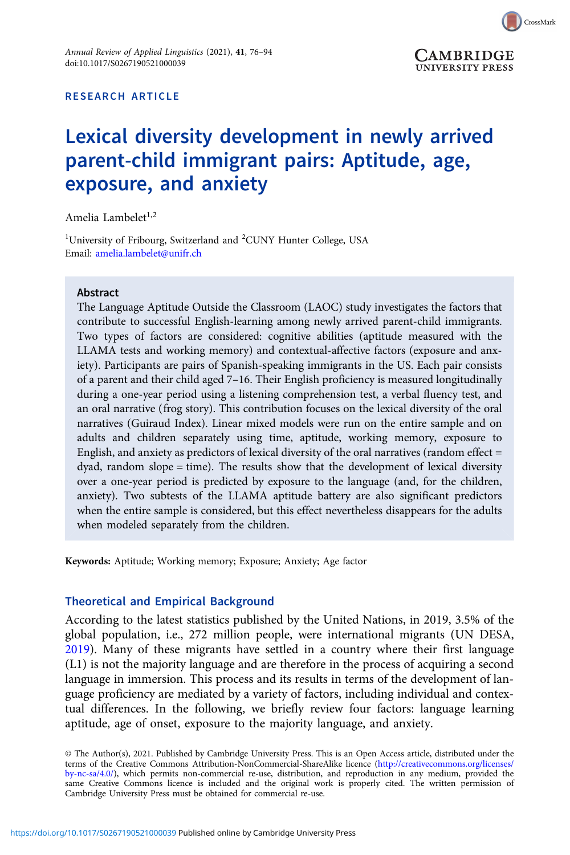

## RESEARCH ARTICLE

# Lexical diversity development in newly arrived parent-child immigrant pairs: Aptitude, age, exposure, and anxiety

Amelia Lambelet<sup>1,2</sup>

<sup>1</sup>University of Fribourg, Switzerland and <sup>2</sup>CUNY Hunter College, USA Email: [amelia.lambelet@unifr.ch](mailto:amelia.lambelet@unifr.ch)

## Abstract

The Language Aptitude Outside the Classroom (LAOC) study investigates the factors that contribute to successful English-learning among newly arrived parent-child immigrants. Two types of factors are considered: cognitive abilities (aptitude measured with the LLAMA tests and working memory) and contextual-affective factors (exposure and anxiety). Participants are pairs of Spanish-speaking immigrants in the US. Each pair consists of a parent and their child aged 7–16. Their English proficiency is measured longitudinally during a one-year period using a listening comprehension test, a verbal fluency test, and an oral narrative (frog story). This contribution focuses on the lexical diversity of the oral narratives (Guiraud Index). Linear mixed models were run on the entire sample and on adults and children separately using time, aptitude, working memory, exposure to English, and anxiety as predictors of lexical diversity of the oral narratives (random effect = dyad, random slope = time). The results show that the development of lexical diversity over a one-year period is predicted by exposure to the language (and, for the children, anxiety). Two subtests of the LLAMA aptitude battery are also significant predictors when the entire sample is considered, but this effect nevertheless disappears for the adults when modeled separately from the children.

Keywords: Aptitude; Working memory; Exposure; Anxiety; Age factor

## Theoretical and Empirical Background

According to the latest statistics published by the United Nations, in 2019, 3.5% of the global population, i.e., 272 million people, were international migrants (UN DESA, [2019](#page-17-0)). Many of these migrants have settled in a country where their first language (L1) is not the majority language and are therefore in the process of acquiring a second language in immersion. This process and its results in terms of the development of language proficiency are mediated by a variety of factors, including individual and contextual differences. In the following, we briefly review four factors: language learning aptitude, age of onset, exposure to the majority language, and anxiety.

© The Author(s), 2021. Published by Cambridge University Press. This is an Open Access article, distributed under the terms of the Creative Commons Attribution-NonCommercial-ShareAlike licence [\(http://creativecommons.org/licenses/](http://creativecommons.org/licenses/by-nc-sa/4.0/) [by-nc-sa/4.0/](http://creativecommons.org/licenses/by-nc-sa/4.0/)), which permits non-commercial re-use, distribution, and reproduction in any medium, provided the same Creative Commons licence is included and the original work is properly cited. The written permission of Cambridge University Press must be obtained for commercial re-use.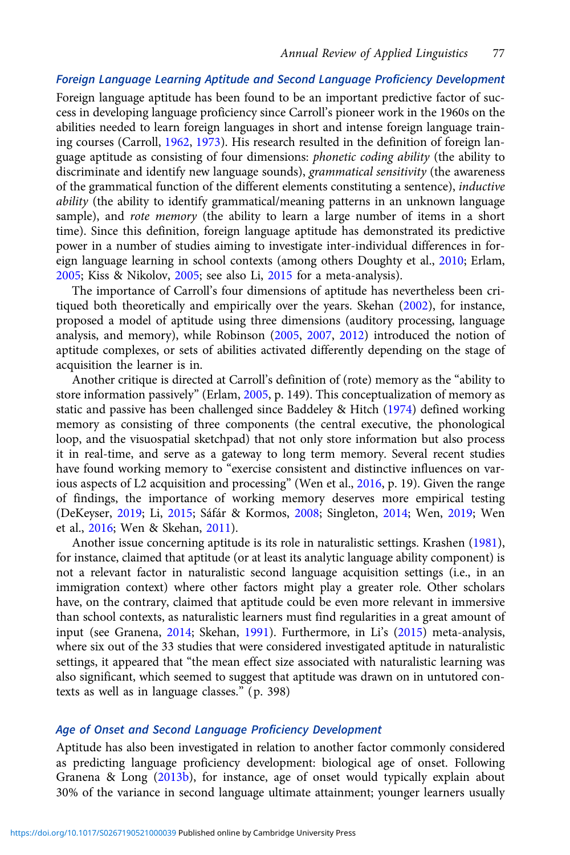# Foreign Language Learning Aptitude and Second Language Proficiency Development

Foreign language aptitude has been found to be an important predictive factor of success in developing language proficiency since Carroll's pioneer work in the 1960s on the abilities needed to learn foreign languages in short and intense foreign language training courses (Carroll, [1962,](#page-15-0) [1973](#page-15-0)). His research resulted in the definition of foreign language aptitude as consisting of four dimensions: phonetic coding ability (the ability to discriminate and identify new language sounds), grammatical sensitivity (the awareness of the grammatical function of the different elements constituting a sentence), inductive ability (the ability to identify grammatical/meaning patterns in an unknown language sample), and *rote memory* (the ability to learn a large number of items in a short time). Since this definition, foreign language aptitude has demonstrated its predictive power in a number of studies aiming to investigate inter-individual differences in foreign language learning in school contexts (among others Doughty et al., [2010](#page-16-0); Erlam, [2005](#page-16-0); Kiss & Nikolov, [2005](#page-16-0); see also Li, [2015](#page-17-0) for a meta-analysis).

The importance of Carroll's four dimensions of aptitude has nevertheless been critiqued both theoretically and empirically over the years. Skehan ([2002](#page-17-0)), for instance, proposed a model of aptitude using three dimensions (auditory processing, language analysis, and memory), while Robinson [\(2005,](#page-17-0) [2007](#page-17-0), [2012](#page-17-0)) introduced the notion of aptitude complexes, or sets of abilities activated differently depending on the stage of acquisition the learner is in.

Another critique is directed at Carroll's definition of (rote) memory as the "ability to store information passively" (Erlam, [2005](#page-16-0), p. 149). This conceptualization of memory as static and passive has been challenged since Baddeley & Hitch ([1974](#page-15-0)) defined working memory as consisting of three components (the central executive, the phonological loop, and the visuospatial sketchpad) that not only store information but also process it in real-time, and serve as a gateway to long term memory. Several recent studies have found working memory to "exercise consistent and distinctive influences on various aspects of L2 acquisition and processing" (Wen et al., [2016](#page-18-0), p. 19). Given the range of findings, the importance of working memory deserves more empirical testing (DeKeyser, [2019;](#page-16-0) Li, [2015;](#page-17-0) Sáfár & Kormos, [2008;](#page-17-0) Singleton, [2014](#page-17-0); Wen, [2019](#page-18-0); Wen et al., [2016;](#page-18-0) Wen & Skehan, [2011](#page-18-0)).

Another issue concerning aptitude is its role in naturalistic settings. Krashen [\(1981](#page-16-0)), for instance, claimed that aptitude (or at least its analytic language ability component) is not a relevant factor in naturalistic second language acquisition settings (i.e., in an immigration context) where other factors might play a greater role. Other scholars have, on the contrary, claimed that aptitude could be even more relevant in immersive than school contexts, as naturalistic learners must find regularities in a great amount of input (see Granena, [2014](#page-16-0); Skehan, [1991\)](#page-17-0). Furthermore, in Li's ([2015](#page-17-0)) meta-analysis, where six out of the 33 studies that were considered investigated aptitude in naturalistic settings, it appeared that "the mean effect size associated with naturalistic learning was also significant, which seemed to suggest that aptitude was drawn on in untutored contexts as well as in language classes." (p. 398)

## Age of Onset and Second Language Proficiency Development

Aptitude has also been investigated in relation to another factor commonly considered as predicting language proficiency development: biological age of onset. Following Granena & Long ([2013b](#page-16-0)), for instance, age of onset would typically explain about 30% of the variance in second language ultimate attainment; younger learners usually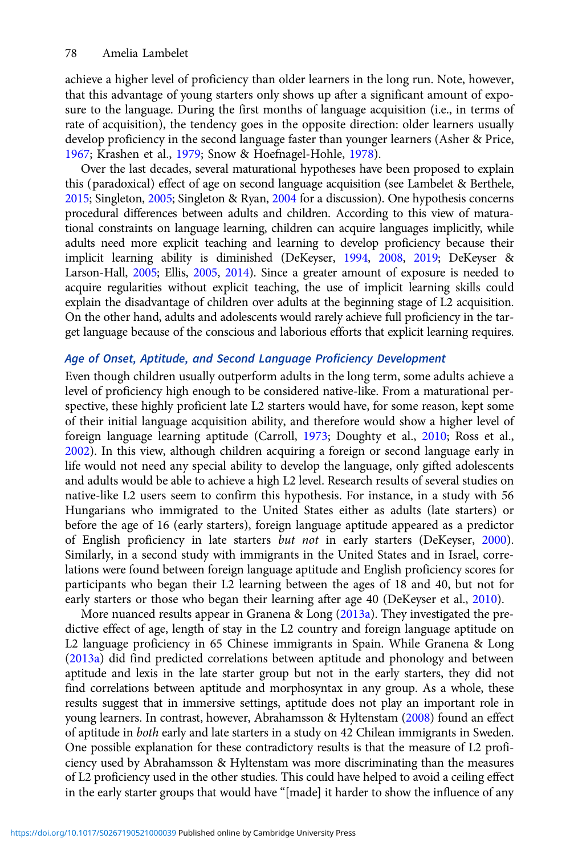achieve a higher level of proficiency than older learners in the long run. Note, however, that this advantage of young starters only shows up after a significant amount of exposure to the language. During the first months of language acquisition (i.e., in terms of rate of acquisition), the tendency goes in the opposite direction: older learners usually develop proficiency in the second language faster than younger learners (Asher & Price, [1967](#page-15-0); Krashen et al., [1979](#page-16-0); Snow & Hoefnagel-Hohle, [1978](#page-17-0)).

Over the last decades, several maturational hypotheses have been proposed to explain this (paradoxical) effect of age on second language acquisition (see Lambelet & Berthele, [2015;](#page-17-0) Singleton, [2005](#page-17-0); Singleton & Ryan, [2004](#page-17-0) for a discussion). One hypothesis concerns procedural differences between adults and children. According to this view of maturational constraints on language learning, children can acquire languages implicitly, while adults need more explicit teaching and learning to develop proficiency because their implicit learning ability is diminished (DeKeyser, [1994,](#page-16-0) [2008](#page-16-0), [2019;](#page-16-0) DeKeyser & Larson-Hall, [2005;](#page-16-0) Ellis, [2005,](#page-16-0) [2014\)](#page-16-0). Since a greater amount of exposure is needed to acquire regularities without explicit teaching, the use of implicit learning skills could explain the disadvantage of children over adults at the beginning stage of L2 acquisition. On the other hand, adults and adolescents would rarely achieve full proficiency in the target language because of the conscious and laborious efforts that explicit learning requires.

# Age of Onset, Aptitude, and Second Language Proficiency Development

Even though children usually outperform adults in the long term, some adults achieve a level of proficiency high enough to be considered native-like. From a maturational perspective, these highly proficient late L2 starters would have, for some reason, kept some of their initial language acquisition ability, and therefore would show a higher level of foreign language learning aptitude (Carroll, [1973](#page-15-0); Doughty et al., [2010;](#page-16-0) Ross et al., [2002](#page-17-0)). In this view, although children acquiring a foreign or second language early in life would not need any special ability to develop the language, only gifted adolescents and adults would be able to achieve a high L2 level. Research results of several studies on native-like L2 users seem to confirm this hypothesis. For instance, in a study with 56 Hungarians who immigrated to the United States either as adults (late starters) or before the age of 16 (early starters), foreign language aptitude appeared as a predictor of English proficiency in late starters but not in early starters (DeKeyser, [2000\)](#page-16-0). Similarly, in a second study with immigrants in the United States and in Israel, correlations were found between foreign language aptitude and English proficiency scores for participants who began their L2 learning between the ages of 18 and 40, but not for early starters or those who began their learning after age 40 (DeKeyser et al., [2010\)](#page-16-0).

More nuanced results appear in Granena & Long ([2013a\)](#page-16-0). They investigated the predictive effect of age, length of stay in the L2 country and foreign language aptitude on L2 language proficiency in 65 Chinese immigrants in Spain. While Granena & Long ([2013a\)](#page-16-0) did find predicted correlations between aptitude and phonology and between aptitude and lexis in the late starter group but not in the early starters, they did not find correlations between aptitude and morphosyntax in any group. As a whole, these results suggest that in immersive settings, aptitude does not play an important role in young learners. In contrast, however, Abrahamsson & Hyltenstam ([2008\)](#page-15-0) found an effect of aptitude in both early and late starters in a study on 42 Chilean immigrants in Sweden. One possible explanation for these contradictory results is that the measure of L2 proficiency used by Abrahamsson & Hyltenstam was more discriminating than the measures of L2 proficiency used in the other studies. This could have helped to avoid a ceiling effect in the early starter groups that would have "[made] it harder to show the influence of any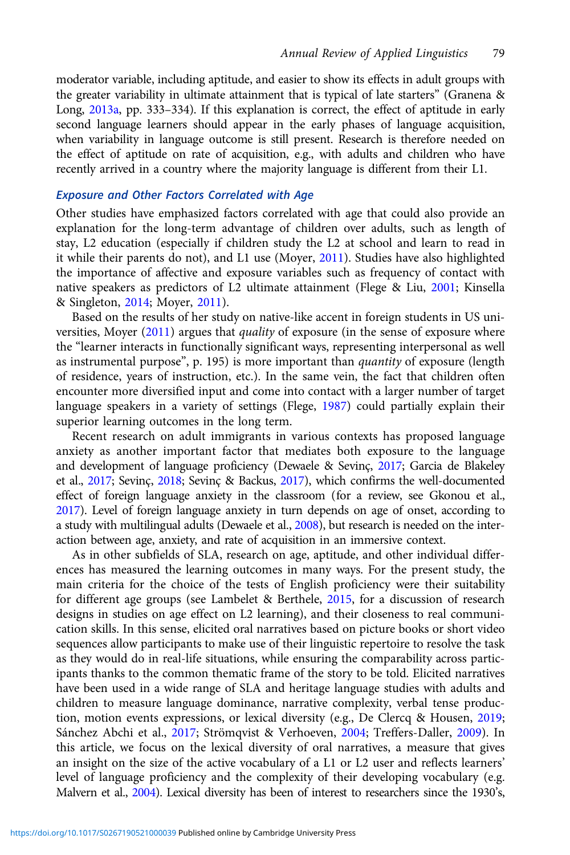moderator variable, including aptitude, and easier to show its effects in adult groups with the greater variability in ultimate attainment that is typical of late starters" (Granena & Long, [2013a](#page-16-0), pp. 333–334). If this explanation is correct, the effect of aptitude in early second language learners should appear in the early phases of language acquisition, when variability in language outcome is still present. Research is therefore needed on the effect of aptitude on rate of acquisition, e.g., with adults and children who have recently arrived in a country where the majority language is different from their L1.

# Exposure and Other Factors Correlated with Age

Other studies have emphasized factors correlated with age that could also provide an explanation for the long-term advantage of children over adults, such as length of stay, L2 education (especially if children study the L2 at school and learn to read in it while their parents do not), and L1 use (Moyer, [2011\)](#page-17-0). Studies have also highlighted the importance of affective and exposure variables such as frequency of contact with native speakers as predictors of L2 ultimate attainment (Flege & Liu, [2001](#page-16-0); Kinsella & Singleton, [2014](#page-16-0); Moyer, [2011](#page-17-0)).

Based on the results of her study on native-like accent in foreign students in US uni-versities, Moyer [\(2011](#page-17-0)) argues that *quality* of exposure (in the sense of exposure where the "learner interacts in functionally significant ways, representing interpersonal as well as instrumental purpose", p. 195) is more important than quantity of exposure (length of residence, years of instruction, etc.). In the same vein, the fact that children often encounter more diversified input and come into contact with a larger number of target language speakers in a variety of settings (Flege, [1987\)](#page-16-0) could partially explain their superior learning outcomes in the long term.

Recent research on adult immigrants in various contexts has proposed language anxiety as another important factor that mediates both exposure to the language and development of language proficiency (Dewaele & Sevinç, [2017;](#page-16-0) Garcia de Blakeley et al., [2017;](#page-16-0) Sevinç, [2018;](#page-17-0) Sevinç & Backus, [2017\)](#page-17-0), which confirms the well-documented effect of foreign language anxiety in the classroom (for a review, see Gkonou et al., [2017\)](#page-16-0). Level of foreign language anxiety in turn depends on age of onset, according to a study with multilingual adults (Dewaele et al., [2008](#page-16-0)), but research is needed on the interaction between age, anxiety, and rate of acquisition in an immersive context.

As in other subfields of SLA, research on age, aptitude, and other individual differences has measured the learning outcomes in many ways. For the present study, the main criteria for the choice of the tests of English proficiency were their suitability for different age groups (see Lambelet & Berthele, [2015,](#page-17-0) for a discussion of research designs in studies on age effect on L2 learning), and their closeness to real communication skills. In this sense, elicited oral narratives based on picture books or short video sequences allow participants to make use of their linguistic repertoire to resolve the task as they would do in real-life situations, while ensuring the comparability across participants thanks to the common thematic frame of the story to be told. Elicited narratives have been used in a wide range of SLA and heritage language studies with adults and children to measure language dominance, narrative complexity, verbal tense production, motion events expressions, or lexical diversity (e.g., De Clercq & Housen, [2019;](#page-16-0) Sánchez Abchi et al., [2017;](#page-17-0) Strömqvist & Verhoeven, [2004](#page-17-0); Treffers-Daller, [2009\)](#page-17-0). In this article, we focus on the lexical diversity of oral narratives, a measure that gives an insight on the size of the active vocabulary of a L1 or L2 user and reflects learners' level of language proficiency and the complexity of their developing vocabulary (e.g. Malvern et al., [2004\)](#page-17-0). Lexical diversity has been of interest to researchers since the 1930's,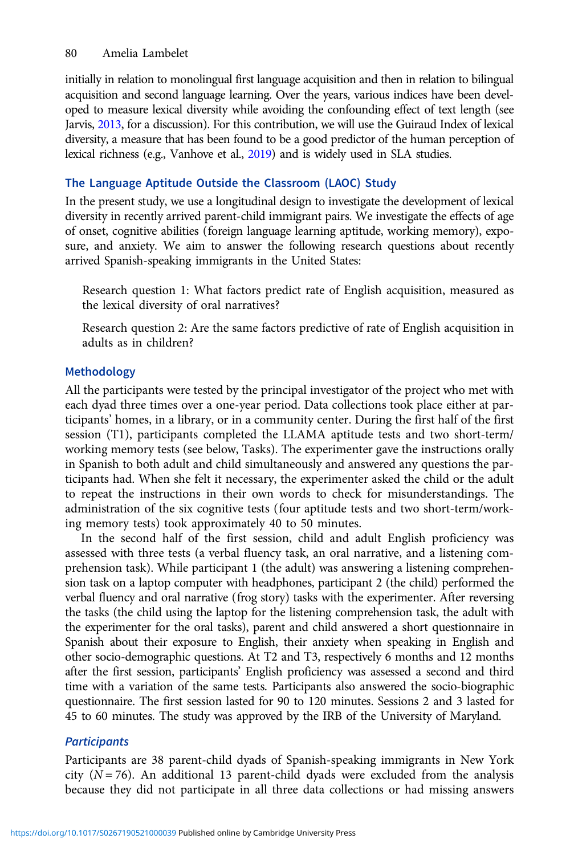initially in relation to monolingual first language acquisition and then in relation to bilingual acquisition and second language learning. Over the years, various indices have been developed to measure lexical diversity while avoiding the confounding effect of text length (see Jarvis, [2013,](#page-16-0) for a discussion). For this contribution, we will use the Guiraud Index of lexical diversity, a measure that has been found to be a good predictor of the human perception of lexical richness (e.g., Vanhove et al., [2019\)](#page-18-0) and is widely used in SLA studies.

# The Language Aptitude Outside the Classroom (LAOC) Study

In the present study, we use a longitudinal design to investigate the development of lexical diversity in recently arrived parent-child immigrant pairs. We investigate the effects of age of onset, cognitive abilities (foreign language learning aptitude, working memory), exposure, and anxiety. We aim to answer the following research questions about recently arrived Spanish-speaking immigrants in the United States:

Research question 1: What factors predict rate of English acquisition, measured as the lexical diversity of oral narratives?

Research question 2: Are the same factors predictive of rate of English acquisition in adults as in children?

# Methodology

All the participants were tested by the principal investigator of the project who met with each dyad three times over a one-year period. Data collections took place either at participants' homes, in a library, or in a community center. During the first half of the first session (T1), participants completed the LLAMA aptitude tests and two short-term/ working memory tests (see below, Tasks). The experimenter gave the instructions orally in Spanish to both adult and child simultaneously and answered any questions the participants had. When she felt it necessary, the experimenter asked the child or the adult to repeat the instructions in their own words to check for misunderstandings. The administration of the six cognitive tests (four aptitude tests and two short-term/working memory tests) took approximately 40 to 50 minutes.

In the second half of the first session, child and adult English proficiency was assessed with three tests (a verbal fluency task, an oral narrative, and a listening comprehension task). While participant 1 (the adult) was answering a listening comprehension task on a laptop computer with headphones, participant 2 (the child) performed the verbal fluency and oral narrative (frog story) tasks with the experimenter. After reversing the tasks (the child using the laptop for the listening comprehension task, the adult with the experimenter for the oral tasks), parent and child answered a short questionnaire in Spanish about their exposure to English, their anxiety when speaking in English and other socio-demographic questions. At T2 and T3, respectively 6 months and 12 months after the first session, participants' English proficiency was assessed a second and third time with a variation of the same tests. Participants also answered the socio-biographic questionnaire. The first session lasted for 90 to 120 minutes. Sessions 2 and 3 lasted for 45 to 60 minutes. The study was approved by the IRB of the University of Maryland.

# **Participants**

Participants are 38 parent-child dyads of Spanish-speaking immigrants in New York city ( $N = 76$ ). An additional 13 parent-child dyads were excluded from the analysis because they did not participate in all three data collections or had missing answers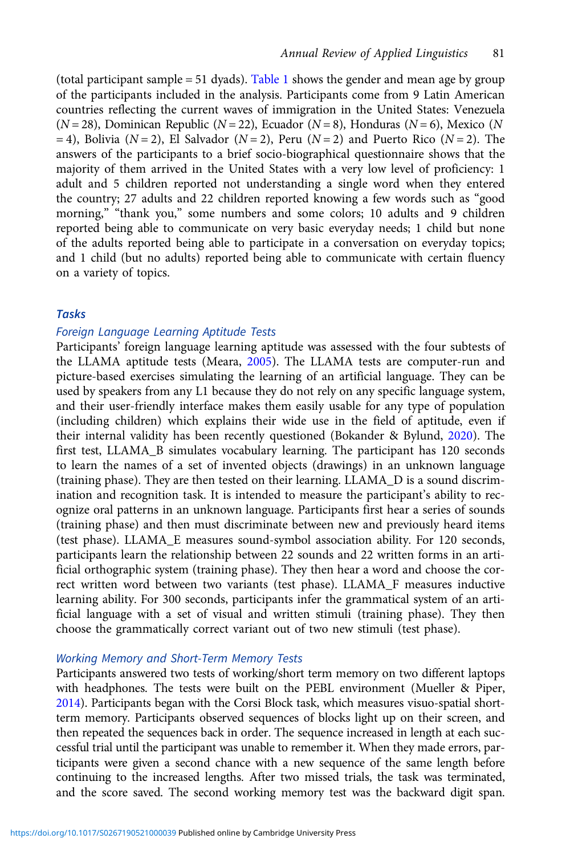(total participant sample = 51 dyads). [Table 1](#page-6-0) shows the gender and mean age by group of the participants included in the analysis. Participants come from 9 Latin American countries reflecting the current waves of immigration in the United States: Venezuela  $(N = 28)$ , Dominican Republic  $(N = 22)$ , Ecuador  $(N = 8)$ , Honduras  $(N = 6)$ , Mexico (N  $=$  4), Bolivia (N = 2), El Salvador (N = 2), Peru (N = 2) and Puerto Rico (N = 2). The answers of the participants to a brief socio-biographical questionnaire shows that the majority of them arrived in the United States with a very low level of proficiency: 1 adult and 5 children reported not understanding a single word when they entered the country; 27 adults and 22 children reported knowing a few words such as "good morning," "thank you," some numbers and some colors; 10 adults and 9 children reported being able to communicate on very basic everyday needs; 1 child but none of the adults reported being able to participate in a conversation on everyday topics; and 1 child (but no adults) reported being able to communicate with certain fluency on a variety of topics.

## Tasks

## Foreign Language Learning Aptitude Tests

Participants' foreign language learning aptitude was assessed with the four subtests of the LLAMA aptitude tests (Meara, [2005\)](#page-17-0). The LLAMA tests are computer-run and picture-based exercises simulating the learning of an artificial language. They can be used by speakers from any L1 because they do not rely on any specific language system, and their user-friendly interface makes them easily usable for any type of population (including children) which explains their wide use in the field of aptitude, even if their internal validity has been recently questioned (Bokander & Bylund, [2020](https://www.zotero.org/google-docs/?7ggh1M)). The first test, LLAMA\_B simulates vocabulary learning. The participant has 120 seconds to learn the names of a set of invented objects (drawings) in an unknown language (training phase). They are then tested on their learning. LLAMA\_D is a sound discrimination and recognition task. It is intended to measure the participant's ability to recognize oral patterns in an unknown language. Participants first hear a series of sounds (training phase) and then must discriminate between new and previously heard items (test phase). LLAMA\_E measures sound-symbol association ability. For 120 seconds, participants learn the relationship between 22 sounds and 22 written forms in an artificial orthographic system (training phase). They then hear a word and choose the correct written word between two variants (test phase). LLAMA\_F measures inductive learning ability. For 300 seconds, participants infer the grammatical system of an artificial language with a set of visual and written stimuli (training phase). They then choose the grammatically correct variant out of two new stimuli (test phase).

# Working Memory and Short-Term Memory Tests

Participants answered two tests of working/short term memory on two different laptops with headphones. The tests were built on the PEBL environment (Mueller & Piper, [2014\)](#page-17-0). Participants began with the Corsi Block task, which measures visuo-spatial shortterm memory. Participants observed sequences of blocks light up on their screen, and then repeated the sequences back in order. The sequence increased in length at each successful trial until the participant was unable to remember it. When they made errors, participants were given a second chance with a new sequence of the same length before continuing to the increased lengths. After two missed trials, the task was terminated, and the score saved. The second working memory test was the backward digit span.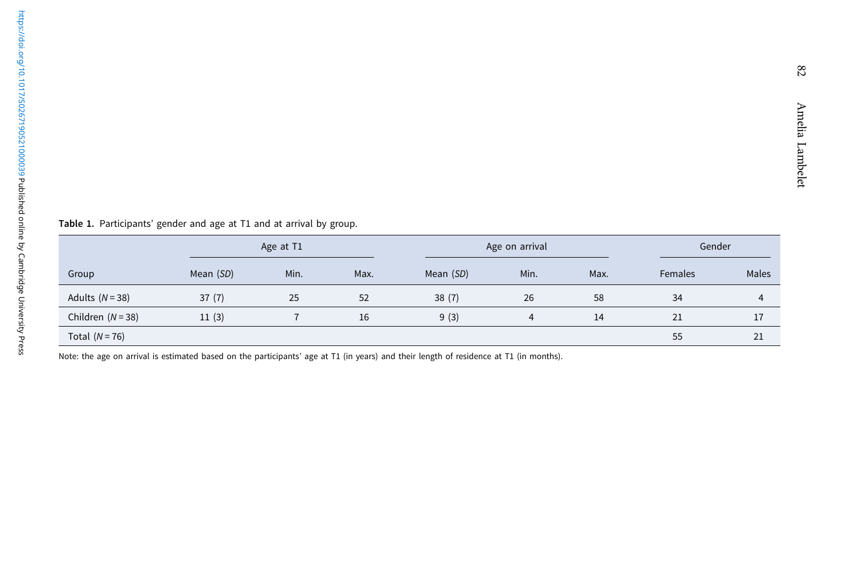Group Age at T1 Age on arrival Age on arrival Age on arrival Age on arrival Age on arrival Age on arrival Age on arrival Age on arrival Age on arrival Age on arrival Age on arrival Age on arrival Age on arrival Age on arrival Ag Mean (SD) Min. Max. Mean (SD) Min. Max. Females Males Adults (N = 38) 37 (7) 25 52 38 (7) 26 58 34 4 Children (N = 38) 11 (3) 7 16 9 (3) 4 14 21 17  $\textsf{Total (N=76)} \hspace{20mm} 55$   $21$ 

<span id="page-6-0"></span>Table 1. Participants' gender and age at T1 and at arrival by group.

Note: the age on arrival is estimated based on the participants' age at T1 (in years) and their length of residence at T1 (in months).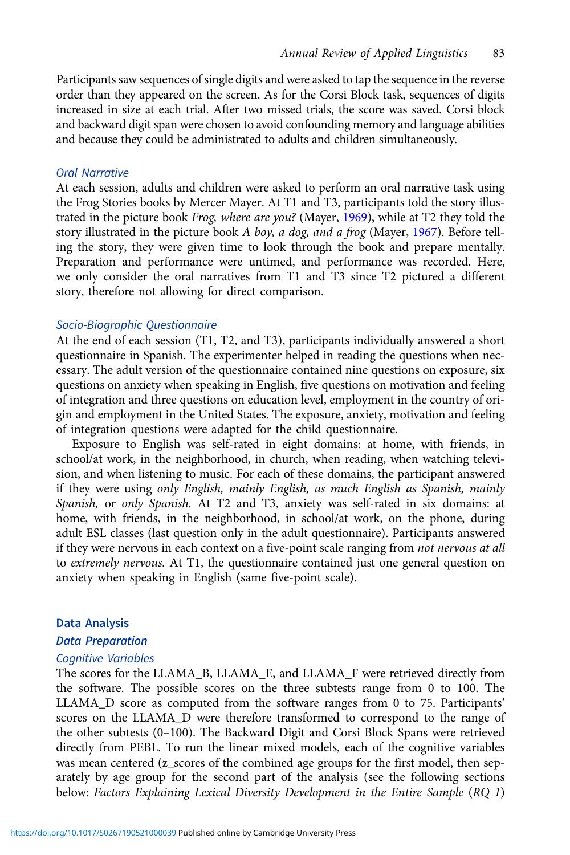Participants saw sequences of single digits and were asked to tap the sequence in the reverse order than they appeared on the screen. As for the Corsi Block task, sequences of digits increased in size at each trial. After two missed trials, the score was saved. Corsi block and backward digit span were chosen to avoid confounding memory and language abilities and because they could be administrated to adults and children simultaneously.

## Oral Narrative

At each session, adults and children were asked to perform an oral narrative task using the Frog Stories books by Mercer Mayer. At T1 and T3, participants told the story illus-trated in the picture book Frog, where are you? (Mayer, [1969](#page-17-0)), while at T2 they told the story illustrated in the picture book A boy, a dog, and a frog (Mayer, [1967](#page-17-0)). Before telling the story, they were given time to look through the book and prepare mentally. Preparation and performance were untimed, and performance was recorded. Here, we only consider the oral narratives from T1 and T3 since T2 pictured a different story, therefore not allowing for direct comparison.

## Socio-Biographic Questionnaire

At the end of each session (T1, T2, and T3), participants individually answered a short questionnaire in Spanish. The experimenter helped in reading the questions when necessary. The adult version of the questionnaire contained nine questions on exposure, six questions on anxiety when speaking in English, five questions on motivation and feeling of integration and three questions on education level, employment in the country of origin and employment in the United States. The exposure, anxiety, motivation and feeling of integration questions were adapted for the child questionnaire.

Exposure to English was self-rated in eight domains: at home, with friends, in school/at work, in the neighborhood, in church, when reading, when watching television, and when listening to music. For each of these domains, the participant answered if they were using only English, mainly English, as much English as Spanish, mainly Spanish, or only Spanish. At T2 and T3, anxiety was self-rated in six domains: at home, with friends, in the neighborhood, in school/at work, on the phone, during adult ESL classes (last question only in the adult questionnaire). Participants answered if they were nervous in each context on a five-point scale ranging from not nervous at all to extremely nervous. At T1, the questionnaire contained just one general question on anxiety when speaking in English (same five-point scale).

#### Data Analysis

## Data Preparation

#### Cognitive Variables

The scores for the LLAMA\_B, LLAMA\_E, and LLAMA\_F were retrieved directly from the software. The possible scores on the three subtests range from 0 to 100. The LLAMA\_D score as computed from the software ranges from 0 to 75. Participants' scores on the LLAMA\_D were therefore transformed to correspond to the range of the other subtests (0–100). The Backward Digit and Corsi Block Spans were retrieved directly from PEBL. To run the linear mixed models, each of the cognitive variables was mean centered (z\_scores of the combined age groups for the first model, then separately by age group for the second part of the analysis (see the following sections below: Factors Explaining Lexical Diversity Development in the Entire Sample (RQ 1)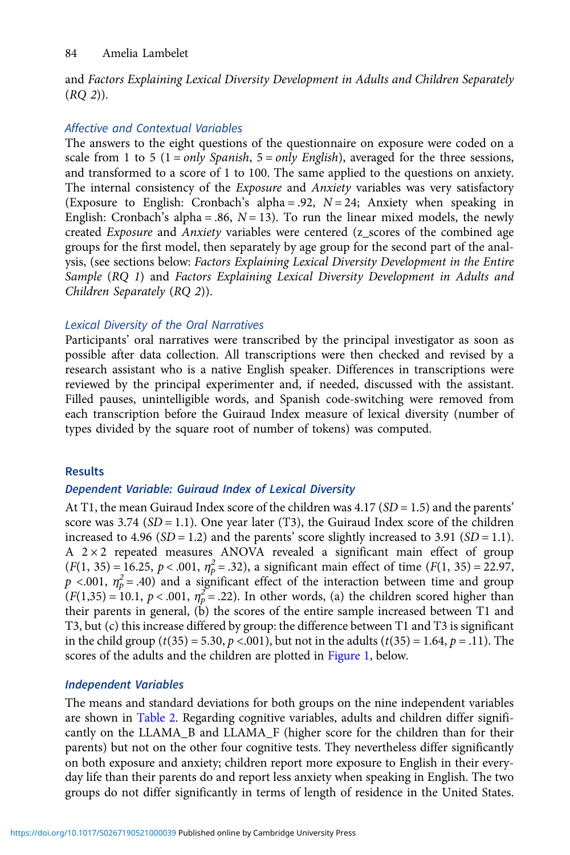and Factors Explaining Lexical Diversity Development in Adults and Children Separately  $(RQ_2)$ ).

# Affective and Contextual Variables

The answers to the eight questions of the questionnaire on exposure were coded on a scale from 1 to 5 ( $1 = only$  Spanish,  $5 = only$  English), averaged for the three sessions, and transformed to a score of 1 to 100. The same applied to the questions on anxiety. The internal consistency of the Exposure and Anxiety variables was very satisfactory (Exposure to English: Cronbach's alpha = .92,  $N = 24$ ; Anxiety when speaking in English: Cronbach's alpha = .86,  $N = 13$ ). To run the linear mixed models, the newly created Exposure and Anxiety variables were centered (z\_scores of the combined age groups for the first model, then separately by age group for the second part of the analysis, (see sections below: Factors Explaining Lexical Diversity Development in the Entire Sample (RQ 1) and Factors Explaining Lexical Diversity Development in Adults and Children Separately (RQ 2)).

# Lexical Diversity of the Oral Narratives

Participants' oral narratives were transcribed by the principal investigator as soon as possible after data collection. All transcriptions were then checked and revised by a research assistant who is a native English speaker. Differences in transcriptions were reviewed by the principal experimenter and, if needed, discussed with the assistant. Filled pauses, unintelligible words, and Spanish code-switching were removed from each transcription before the Guiraud Index measure of lexical diversity (number of types divided by the square root of number of tokens) was computed.

# Results

# Dependent Variable: Guiraud Index of Lexical Diversity

At T1, the mean Guiraud Index score of the children was  $4.17(SD = 1.5)$  and the parents' score was  $3.74$  (SD = 1.1). One year later (T3), the Guiraud Index score of the children increased to 4.96 ( $SD = 1.2$ ) and the parents' score slightly increased to 3.91 ( $SD = 1.1$ ). A  $2 \times 2$  repeated measures ANOVA revealed a significant main effect of group  $(F(1, 35) = 16.25, p < .001, \eta_p^2 = .32)$ , a significant main effect of time  $(F(1, 35) = 22.97$ ,  $p$  <.001,  $\eta_p^2$  = .40) and a significant effect of the interaction between time and group  $(F(1,35) = 10.1, p < .001, \eta_p^2 = .22)$ . In other words, (a) the children scored higher than their parents in general, (b) the scores of the entire sample increased between T1 and T3, but (c) this increase differed by group: the difference between T1 and T3 is significant in the child group ( $t(35) = 5.30$ ,  $p < .001$ ), but not in the adults ( $t(35) = 1.64$ ,  $p = .11$ ). The scores of the adults and the children are plotted in [Figure 1](#page-9-0), below.

# Independent Variables

The means and standard deviations for both groups on the nine independent variables are shown in [Table 2.](#page-10-0) Regarding cognitive variables, adults and children differ significantly on the LLAMA\_B and LLAMA\_F (higher score for the children than for their parents) but not on the other four cognitive tests. They nevertheless differ significantly on both exposure and anxiety; children report more exposure to English in their everyday life than their parents do and report less anxiety when speaking in English. The two groups do not differ significantly in terms of length of residence in the United States.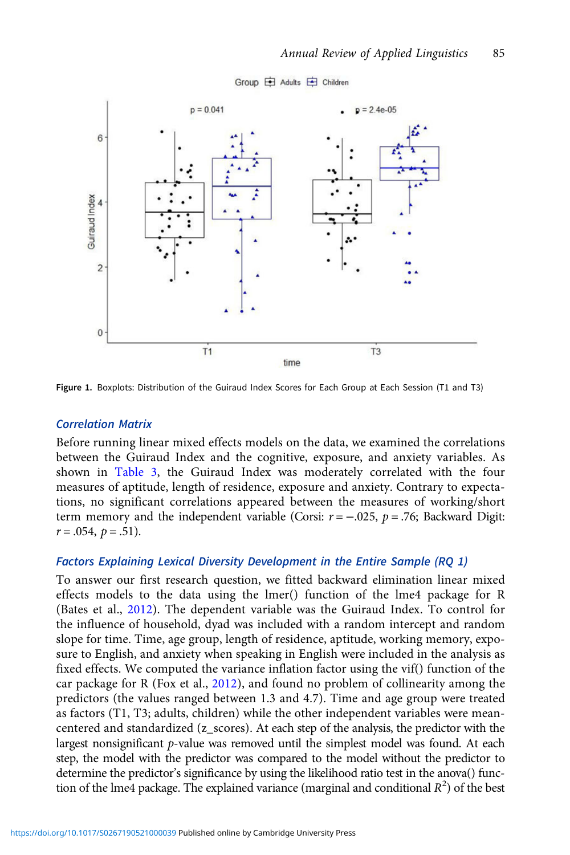<span id="page-9-0"></span>

Group 白 Adults 白 Children

Figure 1. Boxplots: Distribution of the Guiraud Index Scores for Each Group at Each Session (T1 and T3)

## Correlation Matrix

Before running linear mixed effects models on the data, we examined the correlations between the Guiraud Index and the cognitive, exposure, and anxiety variables. As shown in [Table 3](#page-11-0), the Guiraud Index was moderately correlated with the four measures of aptitude, length of residence, exposure and anxiety. Contrary to expectations, no significant correlations appeared between the measures of working/short term memory and the independent variable (Corsi:  $r = -.025$ ,  $p = .76$ ; Backward Digit:  $r = .054, p = .51$ .

## Factors Explaining Lexical Diversity Development in the Entire Sample (RQ 1)

To answer our first research question, we fitted backward elimination linear mixed effects models to the data using the lmer() function of the lme4 package for R (Bates et al., [2012\)](#page-15-0). The dependent variable was the Guiraud Index. To control for the influence of household, dyad was included with a random intercept and random slope for time. Time, age group, length of residence, aptitude, working memory, exposure to English, and anxiety when speaking in English were included in the analysis as fixed effects. We computed the variance inflation factor using the vif() function of the car package for R (Fox et al., [2012\)](#page-16-0), and found no problem of collinearity among the predictors (the values ranged between 1.3 and 4.7). Time and age group were treated as factors (T1, T3; adults, children) while the other independent variables were meancentered and standardized (z\_scores). At each step of the analysis, the predictor with the largest nonsignificant p-value was removed until the simplest model was found. At each step, the model with the predictor was compared to the model without the predictor to determine the predictor's significance by using the likelihood ratio test in the anova() function of the lme4 package. The explained variance (marginal and conditional  $R^2$ ) of the best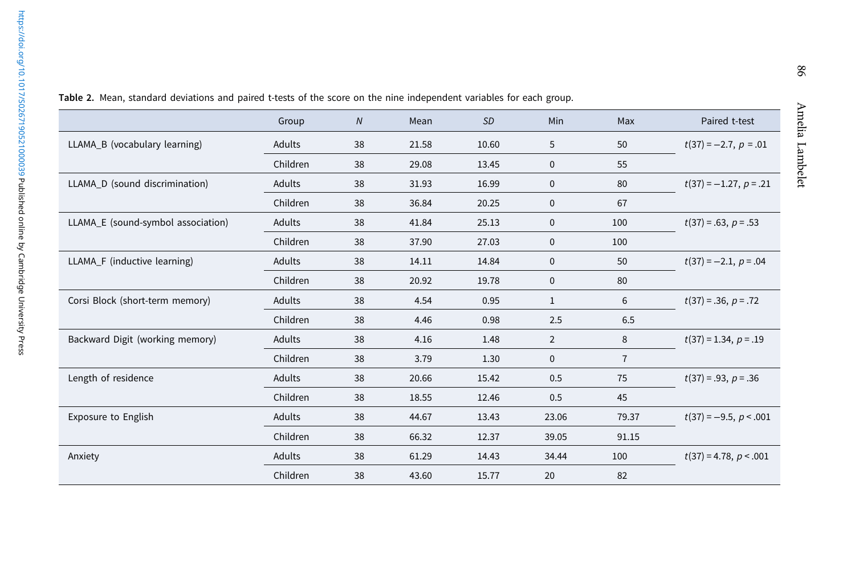$^{96}$ 

|                                    | Group    | N  | Mean  | <b>SD</b> | Min            | Max            | Paired t-test            |
|------------------------------------|----------|----|-------|-----------|----------------|----------------|--------------------------|
| LLAMA_B (vocabulary learning)      | Adults   | 38 | 21.58 | 10.60     | 5              | 50             | $t(37) = -2.7, p = .01$  |
|                                    | Children | 38 | 29.08 | 13.45     | 0              | 55             |                          |
| LLAMA_D (sound discrimination)     | Adults   | 38 | 31.93 | 16.99     | 0              | 80             | $t(37) = -1.27, p = .21$ |
|                                    | Children | 38 | 36.84 | 20.25     | $\mathbf 0$    | 67             |                          |
| LLAMA_E (sound-symbol association) | Adults   | 38 | 41.84 | 25.13     | $\mathbf 0$    | 100            | $t(37) = .63, p = .53$   |
|                                    | Children | 38 | 37.90 | 27.03     | 0              | 100            |                          |
| LLAMA_F (inductive learning)       | Adults   | 38 | 14.11 | 14.84     | 0              | 50             | $t(37) = -2.1, p = .04$  |
|                                    | Children | 38 | 20.92 | 19.78     | 0              | 80             |                          |
| Corsi Block (short-term memory)    | Adults   | 38 | 4.54  | 0.95      | 1              | 6              | $t(37) = .36, p = .72$   |
|                                    | Children | 38 | 4.46  | 0.98      | 2.5            | 6.5            |                          |
| Backward Digit (working memory)    | Adults   | 38 | 4.16  | 1.48      | $\overline{2}$ | 8              | $t(37) = 1.34, p = .19$  |
|                                    | Children | 38 | 3.79  | 1.30      | $\mathbf 0$    | $\overline{7}$ |                          |
| Length of residence                | Adults   | 38 | 20.66 | 15.42     | 0.5            | 75             | $t(37) = .93, p = .36$   |
|                                    | Children | 38 | 18.55 | 12.46     | 0.5            | 45             |                          |
| <b>Exposure to English</b>         | Adults   | 38 | 44.67 | 13.43     | 23.06          | 79.37          | $t(37) = -9.5, p < .001$ |
|                                    | Children | 38 | 66.32 | 12.37     | 39.05          | 91.15          |                          |
| Anxiety                            | Adults   | 38 | 61.29 | 14.43     | 34.44          | 100            | $t(37) = 4.78, p < .001$ |
|                                    | Children | 38 | 43.60 | 15.77     | 20             | 82             |                          |

<span id="page-10-0"></span>Table 2. Mean, standard deviations and paired t-tests of the score on the nine independent variables for each group.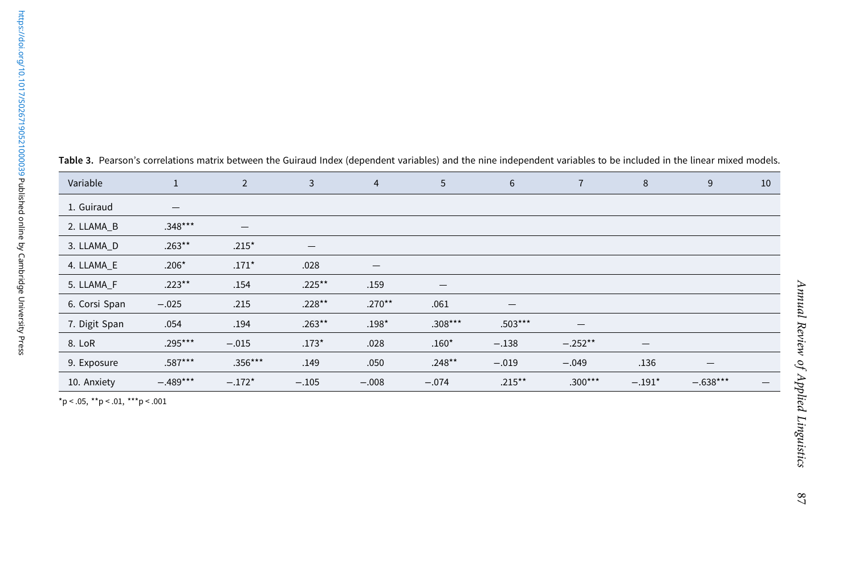<span id="page-11-0"></span>

| Variable                 | $\mathbf{1}$ | $\overline{2}$ | 3         | 4                        | 5                        | 6                 |           | 8                        | 9          |
|--------------------------|--------------|----------------|-----------|--------------------------|--------------------------|-------------------|-----------|--------------------------|------------|
| 1. Guiraud               |              |                |           |                          |                          |                   |           |                          |            |
| 2. LLAMA_B               | $.348***$    |                |           |                          |                          |                   |           |                          |            |
| 3. LLAMA_D<br>4. LLAMA_E | $.263***$    | $.215*$        |           |                          |                          |                   |           |                          |            |
|                          | $.206*$      | $.171*$        | .028      | $\overline{\phantom{m}}$ |                          |                   |           |                          |            |
| 5. LLAMA_F               | $.223***$    | .154           | $.225***$ | .159                     | $\overline{\phantom{m}}$ |                   |           |                          |            |
| 6. Corsi Span            | $-.025$      | .215           | $.228**$  | $.270**$                 | .061                     | $\qquad \qquad -$ |           |                          |            |
| 7. Digit Span            | .054         | .194           | $.263***$ | $.198*$                  | $.308***$                | $.503***$         |           |                          |            |
| 8. LoR                   | $.295***$    | $-.015$        | $.173*$   | .028                     | $.160*$                  | $-.138$           | $-.252**$ | $\overline{\phantom{0}}$ |            |
| 9. Exposure              | $.587***$    | $.356***$      | .149      | .050                     | $.248***$                | $-.019$           | $-.049$   | .136                     | –          |
| 10. Anxiety              | $-.489***$   | $-.172*$       | $-.105$   | $-.008$                  | $-.074$                  | $.215***$         | $.300***$ | $-.191*$                 | $-.638***$ |

|  |  |  | Table 3. Pearson's correlations matrix between the Guiraud Index (dependent variables) and the nine independent variables to be included in the linear mixed models. |
|--|--|--|----------------------------------------------------------------------------------------------------------------------------------------------------------------------|
|  |  |  |                                                                                                                                                                      |

 $*p < .05, **p < .01, **p < .001$ 

 $10\,$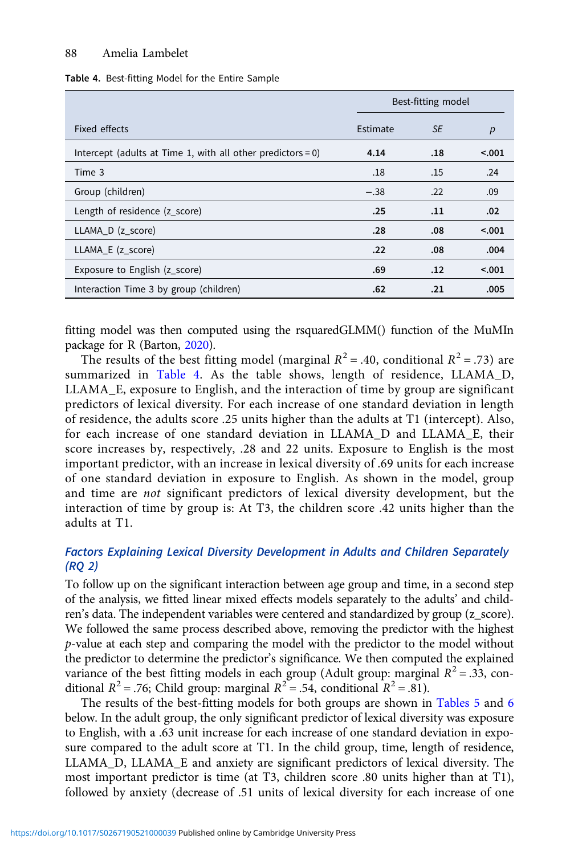Table 4. Best-fitting Model for the Entire Sample

|                                                             | Best-fitting model |           |         |
|-------------------------------------------------------------|--------------------|-----------|---------|
| Fixed effects                                               | Estimate           | <b>SE</b> | p       |
| Intercept (adults at Time 1, with all other predictors = 0) | 4.14               | .18       | < 0.001 |
| Time 3                                                      | .18                | .15       | .24     |
| Group (children)                                            | $-.38$             | .22       | .09     |
| Length of residence (z_score)                               | .25                | .11       | .02     |
| LLAMA D (z score)                                           | .28                | .08       | < 0.001 |
| LLAMA_E (z_score)                                           | .22                | .08       | .004    |
| Exposure to English (z_score)                               | .69                | .12       | < 0.001 |
| Interaction Time 3 by group (children)                      | .62                | .21       | .005    |

fitting model was then computed using the rsquaredGLMM() function of the MuMIn package for R (Barton, [2020](#page-15-0)).

The results of the best fitting model (marginal  $R^2$  = .40, conditional  $R^2$  = .73) are summarized in Table 4. As the table shows, length of residence, LLAMA\_D, LLAMA\_E, exposure to English, and the interaction of time by group are significant predictors of lexical diversity. For each increase of one standard deviation in length of residence, the adults score .25 units higher than the adults at T1 (intercept). Also, for each increase of one standard deviation in LLAMA\_D and LLAMA\_E, their score increases by, respectively, .28 and 22 units. Exposure to English is the most important predictor, with an increase in lexical diversity of .69 units for each increase of one standard deviation in exposure to English. As shown in the model, group and time are not significant predictors of lexical diversity development, but the interaction of time by group is: At T3, the children score .42 units higher than the adults at T1.

# Factors Explaining Lexical Diversity Development in Adults and Children Separately (RQ 2)

To follow up on the significant interaction between age group and time, in a second step of the analysis, we fitted linear mixed effects models separately to the adults' and children's data. The independent variables were centered and standardized by group (z\_score). We followed the same process described above, removing the predictor with the highest p-value at each step and comparing the model with the predictor to the model without the predictor to determine the predictor's significance. We then computed the explained variance of the best fitting models in each group (Adult group: marginal  $R^2 = .33$ , conditional  $R^2$  = .76; Child group: marginal  $R^2$  = .54, conditional  $R^2$  = .81).

The results of the best-fitting models for both groups are shown in [Tables 5](#page-13-0) and [6](#page-13-0) below. In the adult group, the only significant predictor of lexical diversity was exposure to English, with a .63 unit increase for each increase of one standard deviation in exposure compared to the adult score at T1. In the child group, time, length of residence, LLAMA\_D, LLAMA\_E and anxiety are significant predictors of lexical diversity. The most important predictor is time (at T3, children score .80 units higher than at T1), followed by anxiety (decrease of .51 units of lexical diversity for each increase of one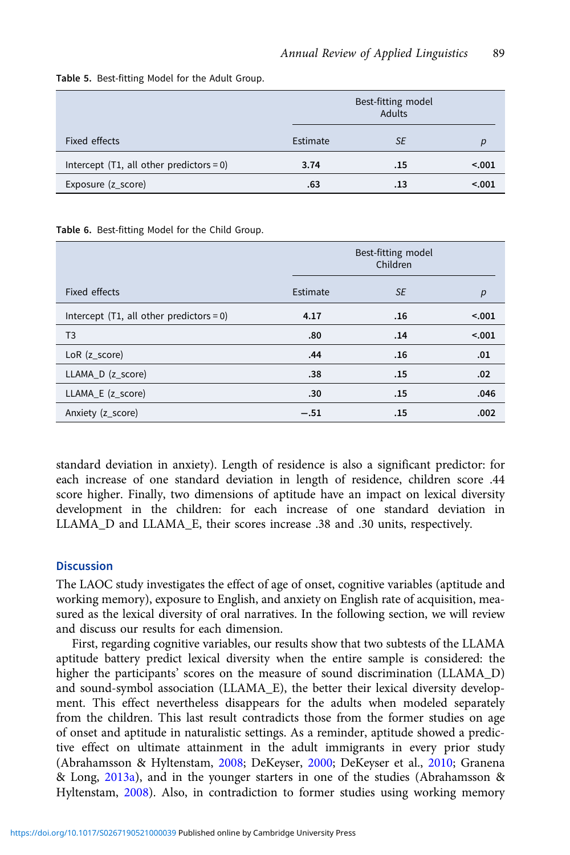|                                            |          | Best-fitting model<br><b>Adults</b> |         |  |
|--------------------------------------------|----------|-------------------------------------|---------|--|
| Fixed effects                              | Estimate | <b>SE</b>                           |         |  |
| Intercept $(T1, all other predictors = 0)$ | 3.74     | .15                                 | < 0.001 |  |
| Exposure (z_score)                         | .63      | .13                                 | < 0.01  |  |

<span id="page-13-0"></span>Table 5. Best-fitting Model for the Adult Group.

Table 6. Best-fitting Model for the Child Group.

|                                            |          | Best-fitting model<br>Children |        |  |
|--------------------------------------------|----------|--------------------------------|--------|--|
| Fixed effects                              | Estimate | <b>SE</b>                      | р      |  |
| Intercept $(T1, all other predictors = 0)$ | 4.17     | .16                            | < .001 |  |
| T <sub>3</sub>                             | .80      | .14                            | < .001 |  |
| $LoR$ ( $z$ _score)                        | .44      | .16                            | .01    |  |
| LLAMA_D (z_score)                          | .38      | .15                            | .02    |  |
| LLAMA_E (z_score)                          | .30      | .15                            | .046   |  |
| Anxiety (z_score)                          | $-.51$   | .15                            | .002   |  |

standard deviation in anxiety). Length of residence is also a significant predictor: for each increase of one standard deviation in length of residence, children score .44 score higher. Finally, two dimensions of aptitude have an impact on lexical diversity development in the children: for each increase of one standard deviation in LLAMA\_D and LLAMA\_E, their scores increase .38 and .30 units, respectively.

# **Discussion**

The LAOC study investigates the effect of age of onset, cognitive variables (aptitude and working memory), exposure to English, and anxiety on English rate of acquisition, measured as the lexical diversity of oral narratives. In the following section, we will review and discuss our results for each dimension.

First, regarding cognitive variables, our results show that two subtests of the LLAMA aptitude battery predict lexical diversity when the entire sample is considered: the higher the participants' scores on the measure of sound discrimination (LLAMA\_D) and sound-symbol association (LLAMA\_E), the better their lexical diversity development. This effect nevertheless disappears for the adults when modeled separately from the children. This last result contradicts those from the former studies on age of onset and aptitude in naturalistic settings. As a reminder, aptitude showed a predictive effect on ultimate attainment in the adult immigrants in every prior study (Abrahamsson & Hyltenstam, [2008](#page-15-0); DeKeyser, [2000](#page-16-0); DeKeyser et al., [2010](#page-16-0); Granena & Long, [2013a](#page-16-0)), and in the younger starters in one of the studies (Abrahamsson & Hyltenstam, [2008\)](#page-15-0). Also, in contradiction to former studies using working memory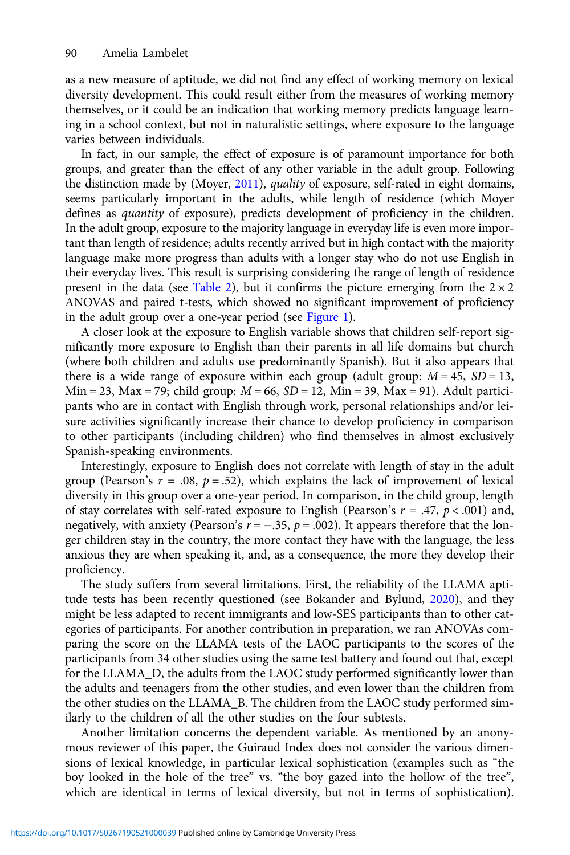as a new measure of aptitude, we did not find any effect of working memory on lexical diversity development. This could result either from the measures of working memory themselves, or it could be an indication that working memory predicts language learning in a school context, but not in naturalistic settings, where exposure to the language varies between individuals.

In fact, in our sample, the effect of exposure is of paramount importance for both groups, and greater than the effect of any other variable in the adult group. Following the distinction made by (Moyer, [2011](#page-17-0)), quality of exposure, self-rated in eight domains, seems particularly important in the adults, while length of residence (which Moyer defines as quantity of exposure), predicts development of proficiency in the children. In the adult group, exposure to the majority language in everyday life is even more important than length of residence; adults recently arrived but in high contact with the majority language make more progress than adults with a longer stay who do not use English in their everyday lives. This result is surprising considering the range of length of residence present in the data (see [Table 2](#page-10-0)), but it confirms the picture emerging from the  $2 \times 2$ ANOVAS and paired t-tests, which showed no significant improvement of proficiency in the adult group over a one-year period (see [Figure 1](#page-9-0)).

A closer look at the exposure to English variable shows that children self-report significantly more exposure to English than their parents in all life domains but church (where both children and adults use predominantly Spanish). But it also appears that there is a wide range of exposure within each group (adult group:  $M = 45$ ,  $SD = 13$ ,  $Min = 23$ ,  $Max = 79$ ; child group:  $M = 66$ ,  $SD = 12$ ,  $Min = 39$ ,  $Max = 91$ . Adult participants who are in contact with English through work, personal relationships and/or leisure activities significantly increase their chance to develop proficiency in comparison to other participants (including children) who find themselves in almost exclusively Spanish-speaking environments.

Interestingly, exposure to English does not correlate with length of stay in the adult group (Pearson's  $r = .08$ ,  $p = .52$ ), which explains the lack of improvement of lexical diversity in this group over a one-year period. In comparison, in the child group, length of stay correlates with self-rated exposure to English (Pearson's  $r = .47$ ,  $p < .001$ ) and, negatively, with anxiety (Pearson's  $r = -.35$ ,  $p = .002$ ). It appears therefore that the longer children stay in the country, the more contact they have with the language, the less anxious they are when speaking it, and, as a consequence, the more they develop their proficiency.

The study suffers from several limitations. First, the reliability of the LLAMA aptitude tests has been recently questioned (see Bokander and Bylund, [2020\)](#page-15-0), and they might be less adapted to recent immigrants and low-SES participants than to other categories of participants. For another contribution in preparation, we ran ANOVAs comparing the score on the LLAMA tests of the LAOC participants to the scores of the participants from 34 other studies using the same test battery and found out that, except for the LLAMA\_D, the adults from the LAOC study performed significantly lower than the adults and teenagers from the other studies, and even lower than the children from the other studies on the LLAMA\_B. The children from the LAOC study performed similarly to the children of all the other studies on the four subtests.

Another limitation concerns the dependent variable. As mentioned by an anonymous reviewer of this paper, the Guiraud Index does not consider the various dimensions of lexical knowledge, in particular lexical sophistication (examples such as "the boy looked in the hole of the tree" vs. "the boy gazed into the hollow of the tree", which are identical in terms of lexical diversity, but not in terms of sophistication).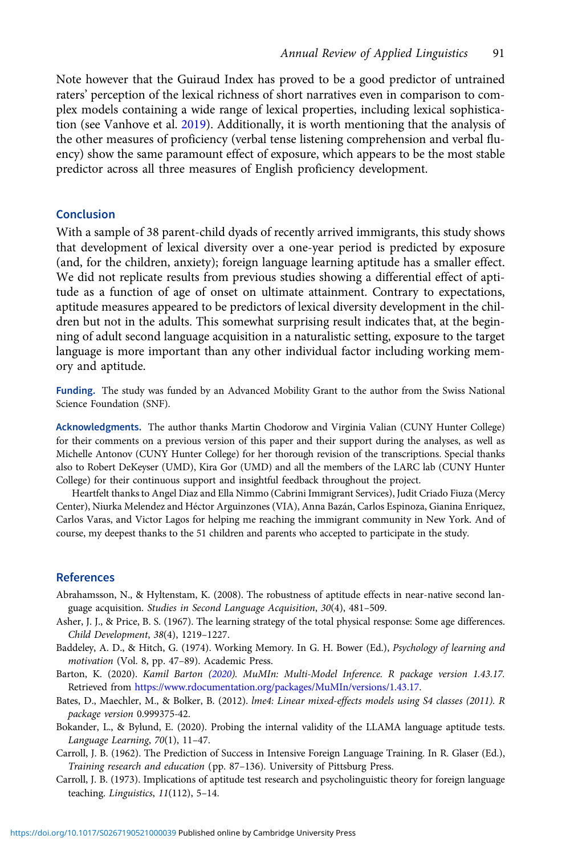<span id="page-15-0"></span>Note however that the Guiraud Index has proved to be a good predictor of untrained raters' perception of the lexical richness of short narratives even in comparison to complex models containing a wide range of lexical properties, including lexical sophistication (see Vanhove et al. [2019](#page-18-0)). Additionally, it is worth mentioning that the analysis of the other measures of proficiency (verbal tense listening comprehension and verbal fluency) show the same paramount effect of exposure, which appears to be the most stable predictor across all three measures of English proficiency development.

# Conclusion

With a sample of 38 parent-child dyads of recently arrived immigrants, this study shows that development of lexical diversity over a one-year period is predicted by exposure (and, for the children, anxiety); foreign language learning aptitude has a smaller effect. We did not replicate results from previous studies showing a differential effect of aptitude as a function of age of onset on ultimate attainment. Contrary to expectations, aptitude measures appeared to be predictors of lexical diversity development in the children but not in the adults. This somewhat surprising result indicates that, at the beginning of adult second language acquisition in a naturalistic setting, exposure to the target language is more important than any other individual factor including working memory and aptitude.

Funding. The study was funded by an Advanced Mobility Grant to the author from the Swiss National Science Foundation (SNF).

Acknowledgments. The author thanks Martin Chodorow and Virginia Valian (CUNY Hunter College) for their comments on a previous version of this paper and their support during the analyses, as well as Michelle Antonov (CUNY Hunter College) for her thorough revision of the transcriptions. Special thanks also to Robert DeKeyser (UMD), Kira Gor (UMD) and all the members of the LARC lab (CUNY Hunter College) for their continuous support and insightful feedback throughout the project.

Heartfelt thanks to Angel Diaz and Ella Nimmo (Cabrini Immigrant Services), Judit Criado Fiuza (Mercy Center), Niurka Melendez and Héctor Arguinzones (VIA), Anna Bazán, Carlos Espinoza, Gianina Enriquez, Carlos Varas, and Victor Lagos for helping me reaching the immigrant community in New York. And of course, my deepest thanks to the 51 children and parents who accepted to participate in the study.

## References

- Abrahamsson, N., & Hyltenstam, K. (2008). The robustness of aptitude effects in near-native second language acquisition. Studies in Second Language Acquisition, 30(4), 481–509.
- Asher, J. J., & Price, B. S. (1967). The learning strategy of the total physical response: Some age differences. Child Development, 38(4), 1219–1227.
- Baddeley, A. D., & Hitch, G. (1974). Working Memory. In G. H. Bower (Ed.), Psychology of learning and motivation (Vol. 8, pp. 47–89). Academic Press.
- Barton, K. (2020). Kamil Barton (2020). MuMIn: Multi-Model Inference. R package version 1.43.17. Retrieved from [https://www.rdocumentation.org/packages/MuMIn/versions/1.43.17.](https://www.rdocumentation.org/packages/MuMIn/versions/1.43.17)
- Bates, D., Maechler, M., & Bolker, B. (2012). lme4: Linear mixed-effects models using S4 classes (2011). R package version 0.999375-42.
- Bokander, L., & Bylund, E. (2020). Probing the internal validity of the LLAMA language aptitude tests. Language Learning, 70(1), 11–47.
- Carroll, J. B. (1962). The Prediction of Success in Intensive Foreign Language Training. In R. Glaser (Ed.), Training research and education (pp. 87–136). University of Pittsburg Press.
- Carroll, J. B. (1973). Implications of aptitude test research and psycholinguistic theory for foreign language teaching. Linguistics, 11(112), 5–14.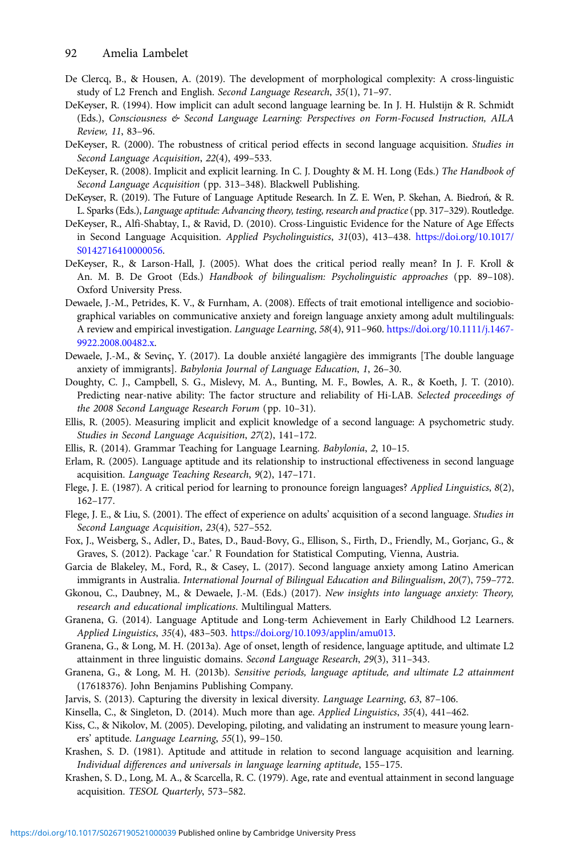- <span id="page-16-0"></span>De Clercq, B., & Housen, A. (2019). The development of morphological complexity: A cross-linguistic study of L2 French and English. Second Language Research, 35(1), 71–97.
- DeKeyser, R. (1994). How implicit can adult second language learning be. In J. H. Hulstijn & R. Schmidt (Eds.), Consciousness & Second Language Learning: Perspectives on Form-Focused Instruction, AILA Review, 11, 83–96.
- DeKeyser, R. (2000). The robustness of critical period effects in second language acquisition. Studies in Second Language Acquisition, 22(4), 499–533.
- DeKeyser, R. (2008). Implicit and explicit learning. In C. J. Doughty & M. H. Long (Eds.) The Handbook of Second Language Acquisition (pp. 313–348). Blackwell Publishing.
- DeKeyser, R. (2019). The Future of Language Aptitude Research. In Z. E. Wen, P. Skehan, A. Biedroń, & R. L. Sparks (Eds.), Language aptitude: Advancing theory, testing, research and practice(pp. 317–329). Routledge.
- DeKeyser, R., Alfi-Shabtay, I., & Ravid, D. (2010). Cross-Linguistic Evidence for the Nature of Age Effects in Second Language Acquisition. Applied Psycholinguistics, 31(03), 413–438. [https://doi.org/10.1017/](https://doi.org/10.1017/S0142716410000056) [S0142716410000056](https://doi.org/10.1017/S0142716410000056).
- DeKeyser, R., & Larson-Hall, J. (2005). What does the critical period really mean? In J. F. Kroll & An. M. B. De Groot (Eds.) Handbook of bilingualism: Psycholinguistic approaches (pp. 89–108). Oxford University Press.
- Dewaele, J.-M., Petrides, K. V., & Furnham, A. (2008). Effects of trait emotional intelligence and sociobiographical variables on communicative anxiety and foreign language anxiety among adult multilinguals: A review and empirical investigation. Language Learning, 58(4), 911–960. [https://doi.org/10.1111/j.1467-](https://doi.org/10.1111/j.1467-9922.2008.00482.x) [9922.2008.00482.x.](https://doi.org/10.1111/j.1467-9922.2008.00482.x)
- Dewaele, J.-M., & Sevinç, Y. (2017). La double anxiété langagière des immigrants [The double language anxiety of immigrants]. Babylonia Journal of Language Education, 1, 26–30.
- Doughty, C. J., Campbell, S. G., Mislevy, M. A., Bunting, M. F., Bowles, A. R., & Koeth, J. T. (2010). Predicting near-native ability: The factor structure and reliability of Hi-LAB. Selected proceedings of the 2008 Second Language Research Forum (pp. 10–31).
- Ellis, R. (2005). Measuring implicit and explicit knowledge of a second language: A psychometric study. Studies in Second Language Acquisition, 27(2), 141–172.
- Ellis, R. (2014). Grammar Teaching for Language Learning. Babylonia, 2, 10–15.
- Erlam, R. (2005). Language aptitude and its relationship to instructional effectiveness in second language acquisition. Language Teaching Research, 9(2), 147–171.
- Flege, J. E. (1987). A critical period for learning to pronounce foreign languages? Applied Linguistics, 8(2), 162–177.
- Flege, J. E., & Liu, S. (2001). The effect of experience on adults' acquisition of a second language. Studies in Second Language Acquisition, 23(4), 527–552.
- Fox, J., Weisberg, S., Adler, D., Bates, D., Baud-Bovy, G., Ellison, S., Firth, D., Friendly, M., Gorjanc, G., & Graves, S. (2012). Package 'car.' R Foundation for Statistical Computing, Vienna, Austria.
- Garcia de Blakeley, M., Ford, R., & Casey, L. (2017). Second language anxiety among Latino American immigrants in Australia. International Journal of Bilingual Education and Bilingualism, 20(7), 759–772.
- Gkonou, C., Daubney, M., & Dewaele, J.-M. (Eds.) (2017). New insights into language anxiety: Theory, research and educational implications. Multilingual Matters.
- Granena, G. (2014). Language Aptitude and Long-term Achievement in Early Childhood L2 Learners. Applied Linguistics, 35(4), 483–503. <https://doi.org/10.1093/applin/amu013>.
- Granena, G., & Long, M. H. (2013a). Age of onset, length of residence, language aptitude, and ultimate L2 attainment in three linguistic domains. Second Language Research, 29(3), 311–343.
- Granena, G., & Long, M. H. (2013b). Sensitive periods, language aptitude, and ultimate L2 attainment (17618376). John Benjamins Publishing Company.
- Jarvis, S. (2013). Capturing the diversity in lexical diversity. Language Learning, 63, 87–106.
- Kinsella, C., & Singleton, D. (2014). Much more than age. Applied Linguistics, 35(4), 441–462.
- Kiss, C., & Nikolov, M. (2005). Developing, piloting, and validating an instrument to measure young learners' aptitude. Language Learning, 55(1), 99–150.
- Krashen, S. D. (1981). Aptitude and attitude in relation to second language acquisition and learning. Individual differences and universals in language learning aptitude, 155–175.
- Krashen, S. D., Long, M. A., & Scarcella, R. C. (1979). Age, rate and eventual attainment in second language acquisition. TESOL Quarterly, 573–582.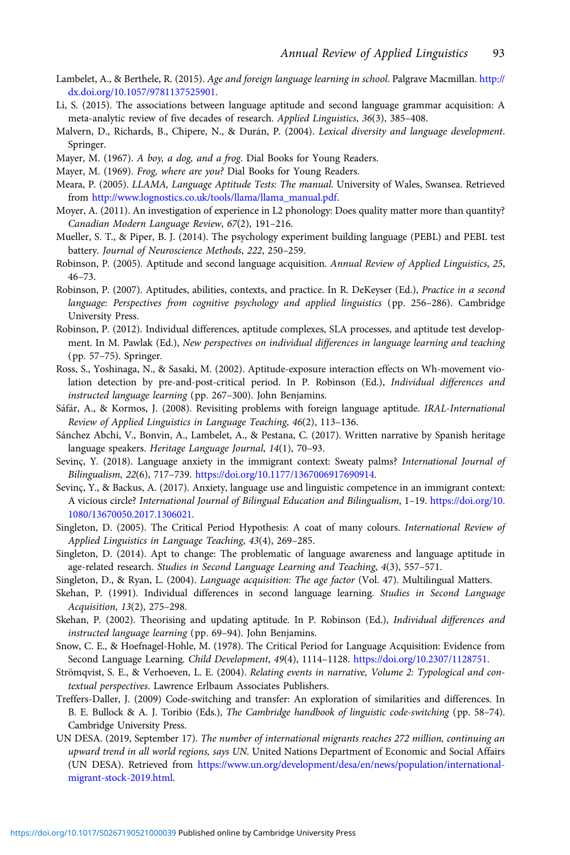- <span id="page-17-0"></span>Lambelet, A., & Berthele, R. (2015). Age and foreign language learning in school. Palgrave Macmillan. [http://](http://dx.doi.org/10.1057/9781137525901) [dx.doi.org/10.1057/9781137525901](http://dx.doi.org/10.1057/9781137525901).
- Li, S. (2015). The associations between language aptitude and second language grammar acquisition: A meta-analytic review of five decades of research. Applied Linguistics, 36(3), 385–408.
- Malvern, D., Richards, B., Chipere, N., & Durán, P. (2004). Lexical diversity and language development. Springer.
- Mayer, M. (1967). A boy, a dog, and a frog. Dial Books for Young Readers.
- Mayer, M. (1969). Frog, where are you? Dial Books for Young Readers.
- Meara, P. (2005). LLAMA, Language Aptitude Tests: The manual. University of Wales, Swansea. Retrieved from [http://www.lognostics.co.uk/tools/llama/llama\\_manual.pdf](http://www.lognostics.co.uk/tools/llama/llama_manual.pdf).
- Moyer, A. (2011). An investigation of experience in L2 phonology: Does quality matter more than quantity? Canadian Modern Language Review, 67(2), 191–216.
- Mueller, S. T., & Piper, B. J. (2014). The psychology experiment building language (PEBL) and PEBL test battery. Journal of Neuroscience Methods, 222, 250–259.
- Robinson, P. (2005). Aptitude and second language acquisition. Annual Review of Applied Linguistics, 25, 46–73.
- Robinson, P. (2007). Aptitudes, abilities, contexts, and practice. In R. DeKeyser (Ed.), Practice in a second language: Perspectives from cognitive psychology and applied linguistics (pp. 256–286). Cambridge University Press.
- Robinson, P. (2012). Individual differences, aptitude complexes, SLA processes, and aptitude test development. In M. Pawlak (Ed.), New perspectives on individual differences in language learning and teaching (pp. 57–75). Springer.
- Ross, S., Yoshinaga, N., & Sasaki, M. (2002). Aptitude-exposure interaction effects on Wh-movement violation detection by pre-and-post-critical period. In P. Robinson (Ed.), Individual differences and instructed language learning (pp. 267–300). John Benjamins.
- Sáfár, A., & Kormos, J. (2008). Revisiting problems with foreign language aptitude. IRAL-International Review of Applied Linguistics in Language Teaching, 46(2), 113–136.
- Sánchez Abchi, V., Bonvin, A., Lambelet, A., & Pestana, C. (2017). Written narrative by Spanish heritage language speakers. Heritage Language Journal, 14(1), 70–93.
- Sevinç, Y. (2018). Language anxiety in the immigrant context: Sweaty palms? International Journal of Bilingualism, 22(6), 717–739. [https://doi.org/10.1177/1367006917690914.](https://doi.org/10.1177/1367006917690914)
- Sevinç, Y., & Backus, A. (2017). Anxiety, language use and linguistic competence in an immigrant context: A vicious circle? International Journal of Bilingual Education and Bilingualism, 1–19. [https://doi.org/10.](https://doi.org/10.1080/13670050.2017.1306021) [1080/13670050.2017.1306021](https://doi.org/10.1080/13670050.2017.1306021).
- Singleton, D. (2005). The Critical Period Hypothesis: A coat of many colours. International Review of Applied Linguistics in Language Teaching, 43(4), 269–285.
- Singleton, D. (2014). Apt to change: The problematic of language awareness and language aptitude in age-related research. Studies in Second Language Learning and Teaching, 4(3), 557–571.
- Singleton, D., & Ryan, L. (2004). Language acquisition: The age factor (Vol. 47). Multilingual Matters.
- Skehan, P. (1991). Individual differences in second language learning. Studies in Second Language Acquisition, 13(2), 275–298.
- Skehan, P. (2002). Theorising and updating aptitude. In P. Robinson (Ed.), Individual differences and instructed language learning (pp. 69–94). John Benjamins.
- Snow, C. E., & Hoefnagel-Hohle, M. (1978). The Critical Period for Language Acquisition: Evidence from Second Language Learning. Child Development, 49(4), 1114–1128. <https://doi.org/10.2307/1128751>.
- Strömqvist, S. E., & Verhoeven, L. E. (2004). Relating events in narrative, Volume 2: Typological and contextual perspectives. Lawrence Erlbaum Associates Publishers.
- Treffers-Daller, J. (2009) Code-switching and transfer: An exploration of similarities and differences. In B. E. Bullock & A. J. Toribio (Eds.), The Cambridge handbook of linguistic code-switching (pp. 58–74). Cambridge University Press.
- UN DESA. (2019, September 17). The number of international migrants reaches 272 million, continuing an upward trend in all world regions, says UN. United Nations Department of Economic and Social Affairs (UN DESA). Retrieved from [https://www.un.org/development/desa/en/news/population/international](https://www.un.org/development/desa/en/news/population/international-migrant-stock-2019.html)[migrant-stock-2019.html.](https://www.un.org/development/desa/en/news/population/international-migrant-stock-2019.html)